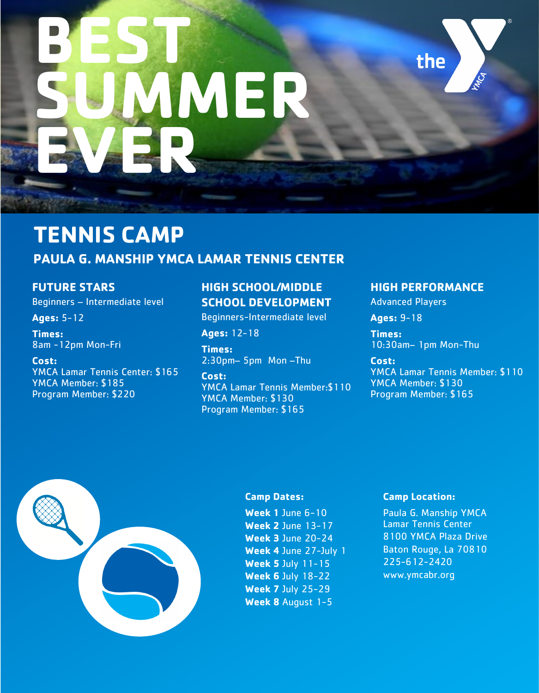# **BEST SUMER EVER**

# **TENNIS CAMP PAULA G. MANSHIP YMCA LAMAR TENNIS CENTER**

## **FUTURE STARS**

Beginners – Intermediate level

#### **Ages:** 5-12

**Times:**  8am -12pm Mon-Fri

#### **Cost:**

YMCA Lamar Tennis Center: \$165 YMCA Member: \$185 Program Member: \$220

## **HIGH SCHOOL/MIDDLE SCHOOL DEVELOPMENT**

Beginners-Intermediate level

**Ages:** 12-18

**Times:**  2:30pm– 5pm Mon –Thu

**Cost:** YMCA Lamar Tennis Member:\$110 YMCA Member: \$130 Program Member: \$165

## **HIGH PERFORMANCE**

the

Advanced Players

**Ages:** 9-18

**Times:**  10:30am– 1pm Mon-Thu

**Cost:** YMCA Lamar Tennis Member: \$110 YMCA Member: \$130 Program Member: \$165



#### **Camp Dates:**

**Week 1** June 6-10 **Week 2** June 13-17 **Week 3** June 20-24 **Week 4** June 27-July 1 **Week 5** July 11-15 **Week 6** July 18-22 **Week 7** July 25-29 **Week 8** August 1-5

#### **Camp Location:**

Paula G. Manship YMCA Lamar Tennis Center 8100 YMCA Plaza Drive Baton Rouge, La 70810 225-612-2420 www.ymcabr.org